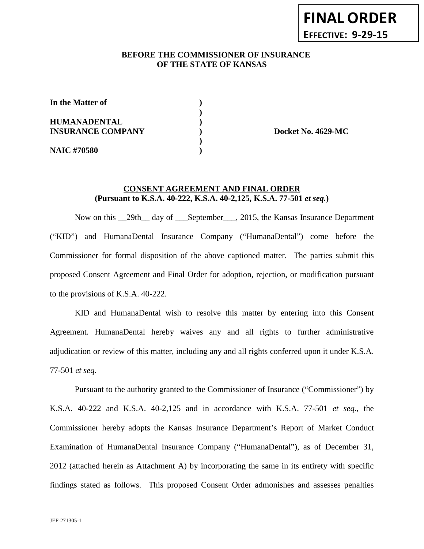## **BEFORE THE COMMISSIONER OF INSURANCE OF THE STATE OF KANSAS**

**)**

| In the Matter of                                |  |
|-------------------------------------------------|--|
| <b>HUMANADENTAL</b><br><b>INSURANCE COMPANY</b> |  |
| <b>NAIC #70580</b>                              |  |

**INSURANCE COMPANY ) Docket No. 4629-MC**

## **CONSENT AGREEMENT AND FINAL ORDER (Pursuant to K.S.A. 40-222, K.S.A. 40-2,125, K.S.A. 77-501** *et seq.***)**

Now on this \_\_29th\_\_ day of \_\_\_September\_\_\_, 2015, the Kansas Insurance Department ("KID") and HumanaDental Insurance Company ("HumanaDental") come before the Commissioner for formal disposition of the above captioned matter. The parties submit this proposed Consent Agreement and Final Order for adoption, rejection, or modification pursuant to the provisions of K.S.A. 40-222.

KID and HumanaDental wish to resolve this matter by entering into this Consent Agreement. HumanaDental hereby waives any and all rights to further administrative adjudication or review of this matter, including any and all rights conferred upon it under K.S.A. 77-501 *et seq*.

Pursuant to the authority granted to the Commissioner of Insurance ("Commissioner") by K.S.A. 40-222 and K.S.A. 40-2,125 and in accordance with K.S.A. 77-501 *et seq*., the Commissioner hereby adopts the Kansas Insurance Department's Report of Market Conduct Examination of HumanaDental Insurance Company ("HumanaDental"), as of December 31, 2012 (attached herein as Attachment A) by incorporating the same in its entirety with specific findings stated as follows. This proposed Consent Order admonishes and assesses penalties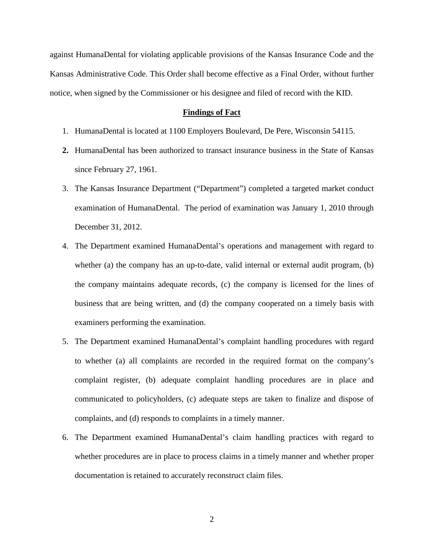against HumanaDental for violating applicable provisions of the Kansas Insurance Code and the Kansas Administrative Code. This Order shall become effective as a Final Order, without further notice, when signed by the Commissioner or his designee and filed of record with the KID.

#### **Findings of Fact**

- 1. HumanaDental is located at 1100 Employers Boulevard, De Pere, Wisconsin 54115.
- **2.** HumanaDental has been authorized to transact insurance business in the State of Kansas since February 27, 1961.
- 3. The Kansas Insurance Department ("Department") completed a targeted market conduct examination of HumanaDental. The period of examination was January 1, 2010 through December 31, 2012.
- 4. The Department examined HumanaDental's operations and management with regard to whether (a) the company has an up-to-date, valid internal or external audit program, (b) the company maintains adequate records, (c) the company is licensed for the lines of business that are being written, and (d) the company cooperated on a timely basis with examiners performing the examination.
- 5. The Department examined HumanaDental's complaint handling procedures with regard to whether (a) all complaints are recorded in the required format on the company's complaint register, (b) adequate complaint handling procedures are in place and communicated to policyholders, (c) adequate steps are taken to finalize and dispose of complaints, and (d) responds to complaints in a timely manner.
- 6. The Department examined HumanaDental's claim handling practices with regard to whether procedures are in place to process claims in a timely manner and whether proper documentation is retained to accurately reconstruct claim files.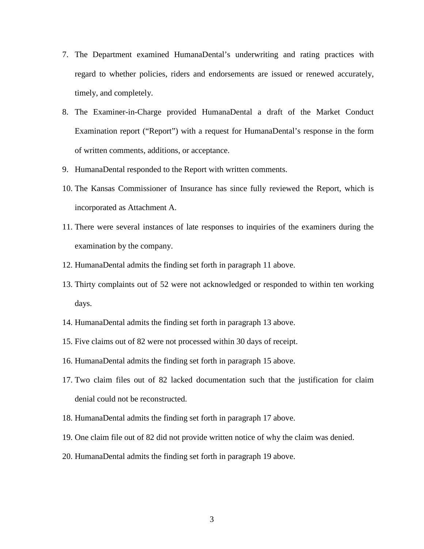- 7. The Department examined HumanaDental's underwriting and rating practices with regard to whether policies, riders and endorsements are issued or renewed accurately, timely, and completely.
- 8. The Examiner-in-Charge provided HumanaDental a draft of the Market Conduct Examination report ("Report") with a request for HumanaDental's response in the form of written comments, additions, or acceptance.
- 9. HumanaDental responded to the Report with written comments.
- 10. The Kansas Commissioner of Insurance has since fully reviewed the Report, which is incorporated as Attachment A.
- 11. There were several instances of late responses to inquiries of the examiners during the examination by the company.
- 12. HumanaDental admits the finding set forth in paragraph 11 above.
- 13. Thirty complaints out of 52 were not acknowledged or responded to within ten working days.
- 14. HumanaDental admits the finding set forth in paragraph 13 above.
- 15. Five claims out of 82 were not processed within 30 days of receipt.
- 16. HumanaDental admits the finding set forth in paragraph 15 above.
- 17. Two claim files out of 82 lacked documentation such that the justification for claim denial could not be reconstructed.
- 18. HumanaDental admits the finding set forth in paragraph 17 above.
- 19. One claim file out of 82 did not provide written notice of why the claim was denied.
- 20. HumanaDental admits the finding set forth in paragraph 19 above.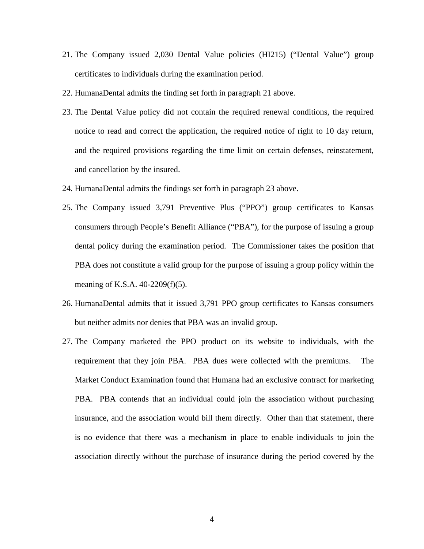- 21. The Company issued 2,030 Dental Value policies (HI215) ("Dental Value") group certificates to individuals during the examination period.
- 22. HumanaDental admits the finding set forth in paragraph 21 above.
- 23. The Dental Value policy did not contain the required renewal conditions, the required notice to read and correct the application, the required notice of right to 10 day return, and the required provisions regarding the time limit on certain defenses, reinstatement, and cancellation by the insured.
- 24. HumanaDental admits the findings set forth in paragraph 23 above.
- 25. The Company issued 3,791 Preventive Plus ("PPO") group certificates to Kansas consumers through People's Benefit Alliance ("PBA"), for the purpose of issuing a group dental policy during the examination period. The Commissioner takes the position that PBA does not constitute a valid group for the purpose of issuing a group policy within the meaning of K.S.A. 40-2209(f)(5).
- 26. HumanaDental admits that it issued 3,791 PPO group certificates to Kansas consumers but neither admits nor denies that PBA was an invalid group.
- 27. The Company marketed the PPO product on its website to individuals, with the requirement that they join PBA. PBA dues were collected with the premiums. The Market Conduct Examination found that Humana had an exclusive contract for marketing PBA. PBA contends that an individual could join the association without purchasing insurance, and the association would bill them directly. Other than that statement, there is no evidence that there was a mechanism in place to enable individuals to join the association directly without the purchase of insurance during the period covered by the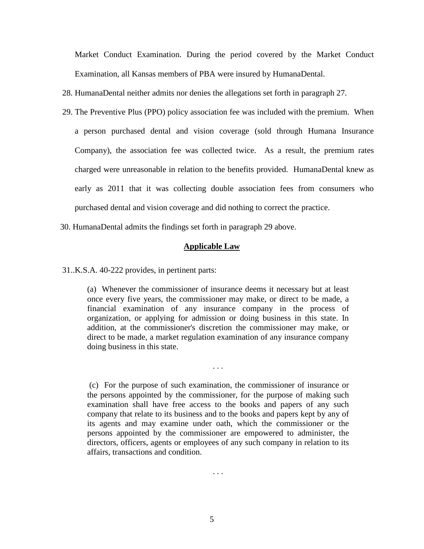Market Conduct Examination. During the period covered by the Market Conduct Examination, all Kansas members of PBA were insured by HumanaDental.

28. HumanaDental neither admits nor denies the allegations set forth in paragraph 27.

- 29. The Preventive Plus (PPO) policy association fee was included with the premium. When a person purchased dental and vision coverage (sold through Humana Insurance Company), the association fee was collected twice. As a result, the premium rates charged were unreasonable in relation to the benefits provided. HumanaDental knew as early as 2011 that it was collecting double association fees from consumers who purchased dental and vision coverage and did nothing to correct the practice.
- 30. HumanaDental admits the findings set forth in paragraph 29 above.

#### **Applicable Law**

31..K.S.A. 40-222 provides, in pertinent parts:

(a) Whenever the commissioner of insurance deems it necessary but at least once every five years, the commissioner may make, or direct to be made, a financial examination of any insurance company in the process of organization, or applying for admission or doing business in this state. In addition, at the commissioner's discretion the commissioner may make, or direct to be made, a market regulation examination of any insurance company doing business in this state.

. . .

(c) For the purpose of such examination, the commissioner of insurance or the persons appointed by the commissioner, for the purpose of making such examination shall have free access to the books and papers of any such company that relate to its business and to the books and papers kept by any of its agents and may examine under oath, which the commissioner or the persons appointed by the commissioner are empowered to administer, the directors, officers, agents or employees of any such company in relation to its affairs, transactions and condition.

. . .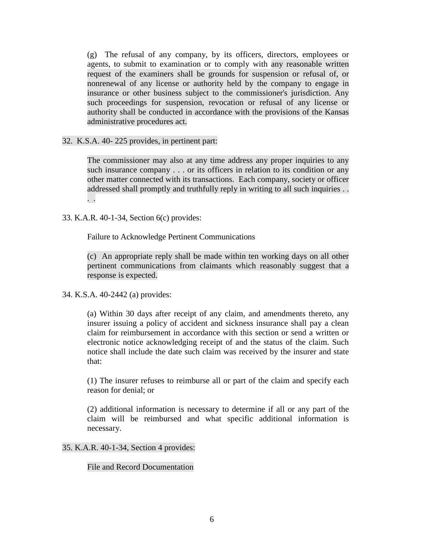(g) The refusal of any company, by its officers, directors, employees or agents, to submit to examination or to comply with any reasonable written request of the examiners shall be grounds for suspension or refusal of, or nonrenewal of any license or authority held by the company to engage in insurance or other business subject to the commissioner's jurisdiction. Any such proceedings for suspension, revocation or refusal of any license or authority shall be conducted in accordance with the provisions of the Kansas administrative procedures act.

32. K.S.A. 40- 225 provides, in pertinent part:

The commissioner may also at any time address any proper inquiries to any such insurance company . . . or its officers in relation to its condition or any other matter connected with its transactions. Each company, society or officer addressed shall promptly and truthfully reply in writing to all such inquiries . . . .

33. K.A.R. 40-1-34, Section 6(c) provides:

Failure to Acknowledge Pertinent Communications

(c) An appropriate reply shall be made within ten working days on all other pertinent communications from claimants which reasonably suggest that a response is expected.

34. K.S.A. 40-2442 (a) provides:

(a) Within 30 days after receipt of any claim, and amendments thereto, any insurer issuing a policy of accident and sickness insurance shall pay a clean claim for reimbursement in accordance with this section or send a written or electronic notice acknowledging receipt of and the status of the claim. Such notice shall include the date such claim was received by the insurer and state that:

(1) The insurer refuses to reimburse all or part of the claim and specify each reason for denial; or

(2) additional information is necessary to determine if all or any part of the claim will be reimbursed and what specific additional information is necessary.

35. K.A.R. 40-1-34, Section 4 provides:

File and Record Documentation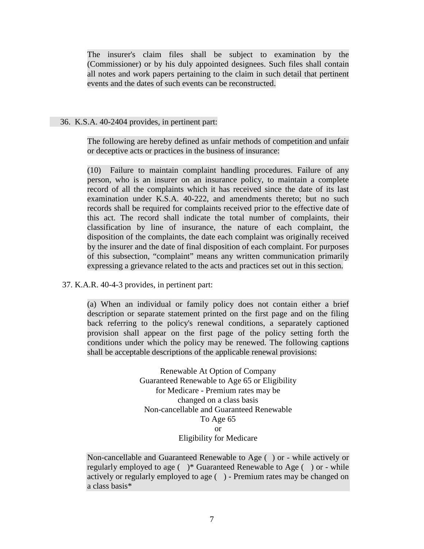The insurer's claim files shall be subject to examination by the (Commissioner) or by his duly appointed designees. Such files shall contain all notes and work papers pertaining to the claim in such detail that pertinent events and the dates of such events can be reconstructed.

## 36. K.S.A. 40-2404 provides, in pertinent part:

The following are hereby defined as unfair methods of competition and unfair or deceptive acts or practices in the business of insurance:

(10) Failure to maintain complaint handling procedures. Failure of any person, who is an insurer on an insurance policy, to maintain a complete record of all the complaints which it has received since the date of its last examination under K.S.A. 40-222, and amendments thereto; but no such records shall be required for complaints received prior to the effective date of this act. The record shall indicate the total number of complaints, their classification by line of insurance, the nature of each complaint, the disposition of the complaints, the date each complaint was originally received by the insurer and the date of final disposition of each complaint. For purposes of this subsection, "complaint" means any written communication primarily expressing a grievance related to the acts and practices set out in this section.

## 37. K.A.R. 40-4-3 provides, in pertinent part:

(a) When an individual or family policy does not contain either a brief description or separate statement printed on the first page and on the filing back referring to the policy's renewal conditions, a separately captioned provision shall appear on the first page of the policy setting forth the conditions under which the policy may be renewed. The following captions shall be acceptable descriptions of the applicable renewal provisions:

> Renewable At Option of Company Guaranteed Renewable to Age 65 or Eligibility for Medicare - Premium rates may be changed on a class basis Non-cancellable and Guaranteed Renewable To Age 65 or Eligibility for Medicare

Non-cancellable and Guaranteed Renewable to Age ( ) or - while actively or regularly employed to age ( )\* Guaranteed Renewable to Age ( ) or - while actively or regularly employed to age ( ) - Premium rates may be changed on a class basis\*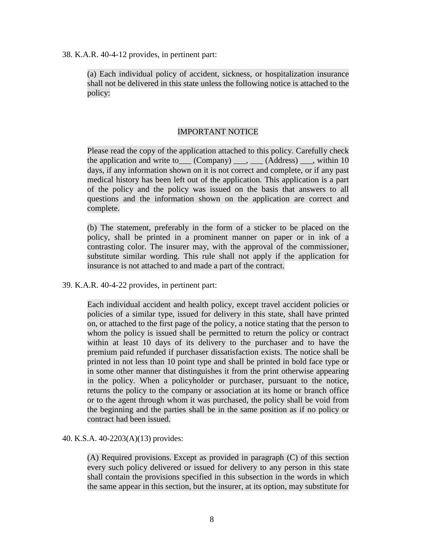38. K.A.R. 40-4-12 provides, in pertinent part:

(a) Each individual policy of accident, sickness, or hospitalization insurance shall not be delivered in this state unless the following notice is attached to the policy:

## IMPORTANT NOTICE

Please read the copy of the application attached to this policy. Carefully check the application and write to  $(Comparly)$ ,  $(Address)$ , within 10 days, if any information shown on it is not correct and complete, or if any past medical history has been left out of the application. This application is a part of the policy and the policy was issued on the basis that answers to all questions and the information shown on the application are correct and complete.

(b) The statement, preferably in the form of a sticker to be placed on the policy, shall be printed in a prominent manner on paper or in ink of a contrasting color. The insurer may, with the approval of the commissioner, substitute similar wording. This rule shall not apply if the application for insurance is not attached to and made a part of the contract.

39. K.A.R. 40-4-22 provides, in pertinent part:

Each individual accident and health policy, except travel accident policies or policies of a similar type, issued for delivery in this state, shall have printed on, or attached to the first page of the policy, a notice stating that the person to whom the policy is issued shall be permitted to return the policy or contract within at least 10 days of its delivery to the purchaser and to have the premium paid refunded if purchaser dissatisfaction exists. The notice shall be printed in not less than 10 point type and shall be printed in bold face type or in some other manner that distinguishes it from the print otherwise appearing in the policy. When a policyholder or purchaser, pursuant to the notice, returns the policy to the company or association at its home or branch office or to the agent through whom it was purchased, the policy shall be void from the beginning and the parties shall be in the same position as if no policy or contract had been issued.

40. K.S.A. 40-2203(A)(13) provides:

(A) Required provisions. Except as provided in paragraph (C) of this section every such policy delivered or issued for delivery to any person in this state shall contain the provisions specified in this subsection in the words in which the same appear in this section, but the insurer, at its option, may substitute for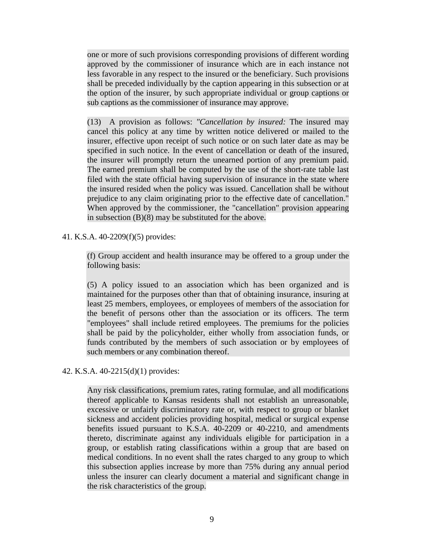one or more of such provisions corresponding provisions of different wording approved by the commissioner of insurance which are in each instance not less favorable in any respect to the insured or the beneficiary. Such provisions shall be preceded individually by the caption appearing in this subsection or at the option of the insurer, by such appropriate individual or group captions or sub captions as the commissioner of insurance may approve.

(13) A provision as follows: *"Cancellation by insured:* The insured may cancel this policy at any time by written notice delivered or mailed to the insurer, effective upon receipt of such notice or on such later date as may be specified in such notice. In the event of cancellation or death of the insured, the insurer will promptly return the unearned portion of any premium paid. The earned premium shall be computed by the use of the short-rate table last filed with the state official having supervision of insurance in the state where the insured resided when the policy was issued. Cancellation shall be without prejudice to any claim originating prior to the effective date of cancellation." When approved by the commissioner, the "cancellation" provision appearing in subsection (B)(8) may be substituted for the above.

## 41. K.S.A. 40-2209(f)(5) provides:

(f) Group accident and health insurance may be offered to a group under the following basis:

(5) A policy issued to an association which has been organized and is maintained for the purposes other than that of obtaining insurance, insuring at least 25 members, employees, or employees of members of the association for the benefit of persons other than the association or its officers. The term "employees" shall include retired employees. The premiums for the policies shall be paid by the policyholder, either wholly from association funds, or funds contributed by the members of such association or by employees of such members or any combination thereof.

42. K.S.A. 40-2215(d)(1) provides:

Any risk classifications, premium rates, rating formulae, and all modifications thereof applicable to Kansas residents shall not establish an unreasonable, excessive or unfairly discriminatory rate or, with respect to group or blanket sickness and accident policies providing hospital, medical or surgical expense benefits issued pursuant to K.S.A. 40-2209 or 40-2210, and amendments thereto, discriminate against any individuals eligible for participation in a group, or establish rating classifications within a group that are based on medical conditions. In no event shall the rates charged to any group to which this subsection applies increase by more than 75% during any annual period unless the insurer can clearly document a material and significant change in the risk characteristics of the group.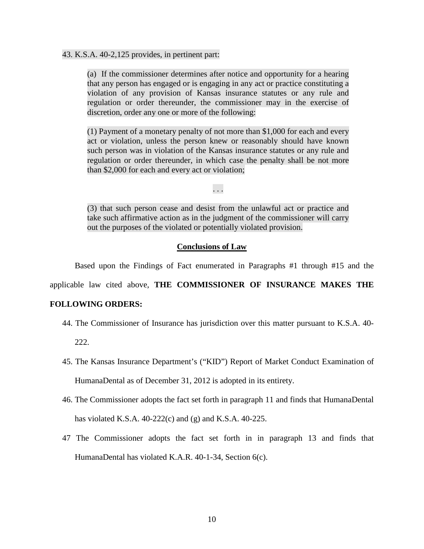#### 43. K.S.A. 40-2,125 provides, in pertinent part:

(a) If the commissioner determines after notice and opportunity for a hearing that any person has engaged or is engaging in any act or practice constituting a violation of any provision of Kansas insurance statutes or any rule and regulation or order thereunder, the commissioner may in the exercise of discretion, order any one or more of the following:

(1) Payment of a monetary penalty of not more than \$1,000 for each and every act or violation, unless the person knew or reasonably should have known such person was in violation of the Kansas insurance statutes or any rule and regulation or order thereunder, in which case the penalty shall be not more than \$2,000 for each and every act or violation;

. . .

(3) that such person cease and desist from the unlawful act or practice and take such affirmative action as in the judgment of the commissioner will carry out the purposes of the violated or potentially violated provision.

#### **Conclusions of Law**

Based upon the Findings of Fact enumerated in Paragraphs #1 through #15 and the

applicable law cited above, **THE COMMISSIONER OF INSURANCE MAKES THE** 

#### **FOLLOWING ORDERS:**

44. The Commissioner of Insurance has jurisdiction over this matter pursuant to K.S.A. 40-

222.

- 45. The Kansas Insurance Department's ("KID") Report of Market Conduct Examination of HumanaDental as of December 31, 2012 is adopted in its entirety.
- 46. The Commissioner adopts the fact set forth in paragraph 11 and finds that HumanaDental has violated K.S.A. 40-222(c) and (g) and K.S.A. 40-225.
- 47 The Commissioner adopts the fact set forth in in paragraph 13 and finds that HumanaDental has violated K.A.R. 40-1-34, Section 6(c).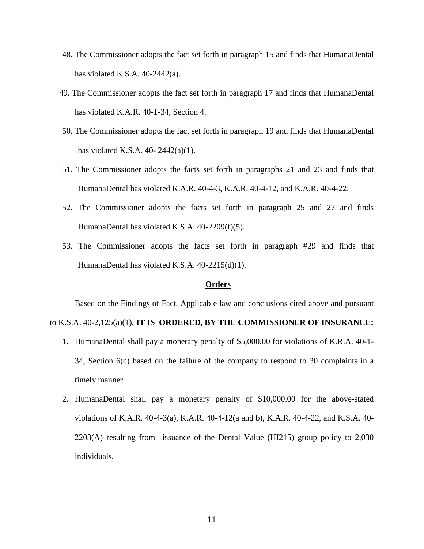- 48. The Commissioner adopts the fact set forth in paragraph 15 and finds that HumanaDental has violated K.S.A. 40-2442(a).
- 49. The Commissioner adopts the fact set forth in paragraph 17 and finds that HumanaDental has violated K.A.R. 40-1-34, Section 4.
- 50. The Commissioner adopts the fact set forth in paragraph 19 and finds that HumanaDental has violated K.S.A. 40- 2442(a)(1).
- 51. The Commissioner adopts the facts set forth in paragraphs 21 and 23 and finds that HumanaDental has violated K.A.R. 40-4-3, K.A.R. 40-4-12, and K.A.R. 40-4-22.
- 52. The Commissioner adopts the facts set forth in paragraph 25 and 27 and finds HumanaDental has violated K.S.A. 40-2209(f)(5).
- 53. The Commissioner adopts the facts set forth in paragraph #29 and finds that HumanaDental has violated K.S.A. 40-2215(d)(1).

### **Orders**

Based on the Findings of Fact, Applicable law and conclusions cited above and pursuant

#### to K.S.A. 40-2,125(a)(1), **IT IS ORDERED, BY THE COMMISSIONER OF INSURANCE:**

- 1. HumanaDental shall pay a monetary penalty of \$5,000.00 for violations of K.R.A. 40-1- 34, Section 6(c) based on the failure of the company to respond to 30 complaints in a timely manner.
- 2. HumanaDental shall pay a monetary penalty of \$10,000.00 for the above-stated violations of K.A.R. 40-4-3(a), K.A.R. 40-4-12(a and b), K.A.R. 40-4-22, and K.S.A. 40- 2203(A) resulting from issuance of the Dental Value (HI215) group policy to 2,030 individuals.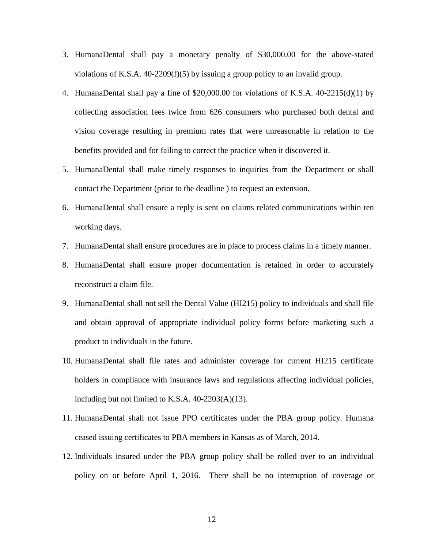- 3. HumanaDental shall pay a monetary penalty of \$30,000.00 for the above-stated violations of K.S.A. 40-2209(f)(5) by issuing a group policy to an invalid group.
- 4. HumanaDental shall pay a fine of \$20,000.00 for violations of K.S.A. 40-2215(d)(1) by collecting association fees twice from 626 consumers who purchased both dental and vision coverage resulting in premium rates that were unreasonable in relation to the benefits provided and for failing to correct the practice when it discovered it.
- 5. HumanaDental shall make timely responses to inquiries from the Department or shall contact the Department (prior to the deadline ) to request an extension.
- 6. HumanaDental shall ensure a reply is sent on claims related communications within ten working days.
- 7. HumanaDental shall ensure procedures are in place to process claims in a timely manner.
- 8. HumanaDental shall ensure proper documentation is retained in order to accurately reconstruct a claim file.
- 9. HumanaDental shall not sell the Dental Value (HI215) policy to individuals and shall file and obtain approval of appropriate individual policy forms before marketing such a product to individuals in the future.
- 10. HumanaDental shall file rates and administer coverage for current HI215 certificate holders in compliance with insurance laws and regulations affecting individual policies, including but not limited to K.S.A. 40-2203(A)(13).
- 11. HumanaDental shall not issue PPO certificates under the PBA group policy. Humana ceased issuing certificates to PBA members in Kansas as of March, 2014.
- 12. Individuals insured under the PBA group policy shall be rolled over to an individual policy on or before April 1, 2016. There shall be no interruption of coverage or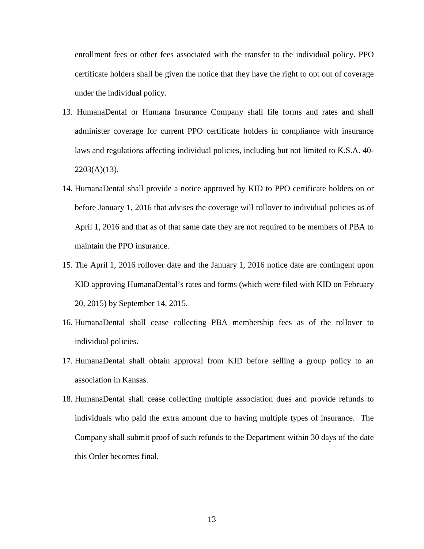enrollment fees or other fees associated with the transfer to the individual policy. PPO certificate holders shall be given the notice that they have the right to opt out of coverage under the individual policy.

- 13. HumanaDental or Humana Insurance Company shall file forms and rates and shall administer coverage for current PPO certificate holders in compliance with insurance laws and regulations affecting individual policies, including but not limited to K.S.A. 40-  $2203(A)(13)$ .
- 14. HumanaDental shall provide a notice approved by KID to PPO certificate holders on or before January 1, 2016 that advises the coverage will rollover to individual policies as of April 1, 2016 and that as of that same date they are not required to be members of PBA to maintain the PPO insurance.
- 15. The April 1, 2016 rollover date and the January 1, 2016 notice date are contingent upon KID approving HumanaDental's rates and forms (which were filed with KID on February 20, 2015) by September 14, 2015.
- 16. HumanaDental shall cease collecting PBA membership fees as of the rollover to individual policies.
- 17. HumanaDental shall obtain approval from KID before selling a group policy to an association in Kansas.
- 18. HumanaDental shall cease collecting multiple association dues and provide refunds to individuals who paid the extra amount due to having multiple types of insurance. The Company shall submit proof of such refunds to the Department within 30 days of the date this Order becomes final.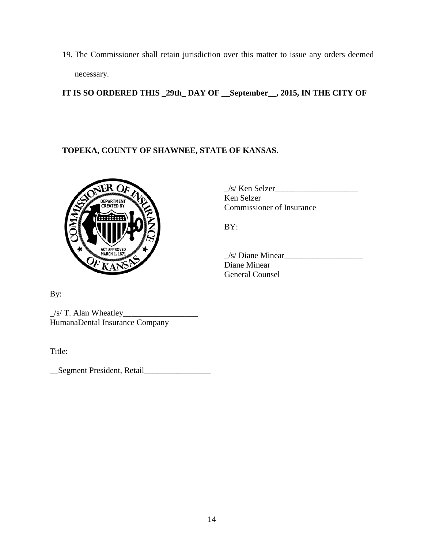19. The Commissioner shall retain jurisdiction over this matter to issue any orders deemed necessary.

**IT IS SO ORDERED THIS \_29th\_ DAY OF \_\_September\_\_, 2015, IN THE CITY OF** 

# **TOPEKA, COUNTY OF SHAWNEE, STATE OF KANSAS.**



 $\angle$ s/ Ken Selzer $\angle$ Ken Selzer Commissioner of Insurance

BY:

 $\angle$ s/ Diane Minear $\angle$ Diane Minear General Counsel

By:

 $\angle$ s/ T. Alan Wheatley $\angle$ HumanaDental Insurance Company

Title:

\_\_Segment President, Retail\_\_\_\_\_\_\_\_\_\_\_\_\_\_\_\_